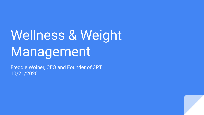# Wellness & Weight Management

Freddie Wolner, CEO and Founder of 3PT 10/21/2020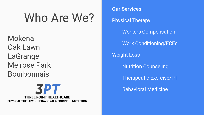# Who Are We?

Mokena Oak Lawn LaGrange Melrose Park **Bourbonnais** 



**Our Services:** Physical Therapy Workers Compensation Work Conditioning/FCEs Weight Loss Nutrition Counseling Therapeutic Exercise/PT Behavioral Medicine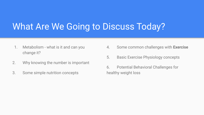#### What Are We Going to Discuss Today?

- 1. Metabolism what is it and can you change it?
- 2. Why knowing the number is important
- 3. Some simple nutrition concepts
- 4. Some common challenges with **Exercise**
- 5. Basic Exercise Physiology concepts
- 6. Potential Behavioral Challenges for healthy weight loss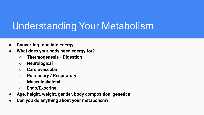## Understanding Your Metabolism

- **● Converting food into energy**
- **● What does your body need energy for?**
	- **○ Thermogenesis Digestion**
	- **○ Neurological**
	- **○ Cardiovascular**
	- **○ Pulmonary / Respiratory**
	- **○ Musculoskeletal**
	- **○ Endo/Exocrine**
- **● Age, height, weight, gender, body composition, genetics**
- **● Can you do anything about your metabolism?**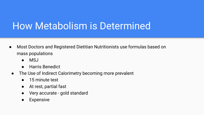## How Metabolism is Determined

- Most Doctors and Registered Dietitian Nutritionists use formulas based on mass populations
	- MSJ
	- **Harris Benedict**
	- The Use of Indirect Calorimetry becoming more prevalent
		- 15 minute test
		- At rest, partial fast
		- Very accurate gold standard
		- **Expensive**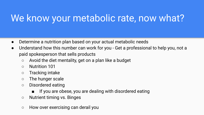# We know your metabolic rate, now what?

- Determine a nutrition plan based on your actual metabolic needs
- Understand how this number can work for you Get a professional to help you, not a paid spokesperson that sells products
	- Avoid the diet mentality, get on a plan like a budget
	- Nutrition 101
	- Tracking intake
	- The hunger scale
	- Disordered eating
		- If you are obese, you are dealing with disordered eating
	- Nutrient timing vs. Binges
	- How over exercising can derail you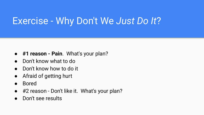#### Exercise - Why Don't We *Just Do It*?

- **#1 reason Pain**. What's your plan?
- Don't know what to do
- Don't know how to do it
- Afraid of getting hurt
- Bored
- #2 reason Don't like it. What's your plan?
- Don't see results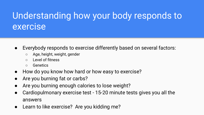#### Understanding how your body responds to exercise

- Everybody responds to exercise differently based on several factors:
	- Age, height, weight, gender
	- Level of fitness
	- Genetics
- How do you know how hard or how easy to exercise?
- Are you burning fat or carbs?
- Are you burning enough calories to lose weight?
- Cardiopulmonary exercise test 15-20 minute tests gives you all the answers
- Learn to like exercise? Are you kidding me?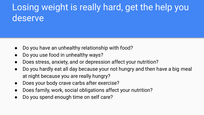#### Losing weight is really hard, get the help you deserve

- Do you have an unhealthy relationship with food?
- Do you use food in unhealthy ways?
- Does stress, anxiety, and or depression affect your nutrition?
- Do you hardly eat all day because your not hungry and then have a big meal at night because you are really hungry?
- Does your body crave carbs after exercise?
- Does family, work, social obligations affect your nutrition?
- Do you spend enough time on self care?